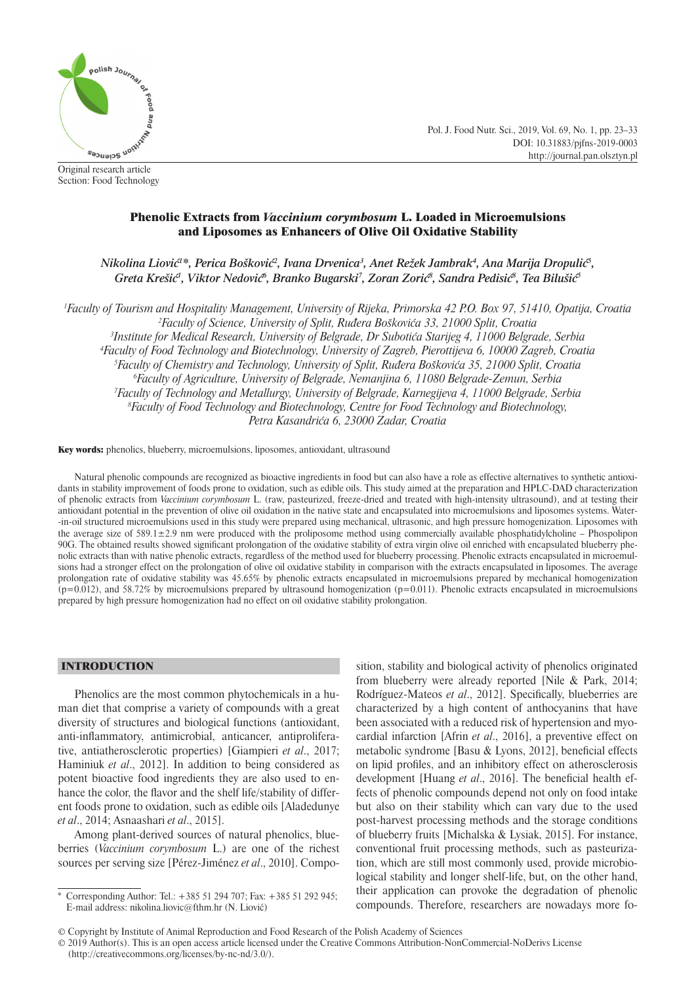

Original research article Section: Food Technology Pol. J. Food Nutr. Sci., 2019, Vol. 69, No. 1, pp. 23–33 DOI: 10.31883/pjfns-2019-0003 http://journal.pan.olsztyn.pl

# Phenolic Extracts from *Vaccinium corymbosum* L. Loaded in Microemulsions and Liposomes as Enhancers of Olive Oil Oxidative Stability

*Nikolina Liović<sup>1</sup> \*, Perica Bošković<sup>2</sup> , Ivana Drvenica3 , Anet Režek Jambrak4 , Ana Marija Dropulić<sup>5</sup> , Greta Krešić<sup>1</sup> , Viktor Nedović<sup>6</sup> , Branko Bugarski7 , Zoran Zorić<sup>8</sup> , Sandra Pedisić<sup>8</sup> , Tea Bilušić<sup>5</sup>*

 *Faculty of Tourism and Hospitality Management, University of Rijeka, Primorska 42 P.O. Box 97, 51410, Opatija, Croatia Faculty of Science, University of Split, Ruđera Boškovića 33, 21000 Split, Croatia Institute for Medical Research, University of Belgrade, Dr Subotića Starijeg 4, 11000 Belgrade, Serbia Faculty of Food Technology and Biotechnology, University of Zagreb, Pierottijeva 6, 10000 Zagreb, Croatia Faculty of Chemistry and Technology, University of Split, Ruđera Boškovića 35, 21000 Split, Croatia Faculty of Agriculture, University of Belgrade, Nemanjina 6, 11080 Belgrade-Zemun, Serbia Faculty of Technology and Metallurgy, University of Belgrade, Karnegijeva 4, 11000 Belgrade, Serbia Faculty of Food Technology and Biotechnology, Centre for Food Technology and Biotechnology, Petra Kasandrića 6, 23000 Zadar, Croatia*

Key words: phenolics, blueberry, microemulsions, liposomes, antioxidant, ultrasound

Natural phenolic compounds are recognized as bioactive ingredients in food but can also have a role as effective alternatives to synthetic antioxidants in stability improvement of foods prone to oxidation, such as edible oils. This study aimed at the preparation and HPLC-DAD characterization of phenolic extracts from *Vaccinium corymbosum* L. (raw, pasteurized, freeze-dried and treated with high-intensity ultrasound), and at testing their antioxidant potential in the prevention of olive oil oxidation in the native state and encapsulated into microemulsions and liposomes systems. Water- -in-oil structured microemulsions used in this study were prepared using mechanical, ultrasonic, and high pressure homogenization. Liposomes with the average size of 589.1±2.9 nm were produced with the proliposome method using commercially available phosphatidylcholine – Phospolipon 90G. The obtained results showed significant prolongation of the oxidative stability of extra virgin olive oil enriched with encapsulated blueberry phenolic extracts than with native phenolic extracts, regardless of the method used for blueberry processing. Phenolic extracts encapsulated in microemulsions had a stronger effect on the prolongation of olive oil oxidative stability in comparison with the extracts encapsulated in liposomes. The average prolongation rate of oxidative stability was 45.65% by phenolic extracts encapsulated in microemulsions prepared by mechanical homogenization  $(p=0.012)$ , and 58.72% by microemulsions prepared by ultrasound homogenization  $(p=0.011)$ . Phenolic extracts encapsulated in microemulsions prepared by high pressure homogenization had no effect on oil oxidative stability prolongation.

# INTRODUCTION

Phenolics are the most common phytochemicals in a human diet that comprise a variety of compounds with a great diversity of structures and biological functions (antioxidant, anti-inflammatory, antimicrobial, anticancer, antiproliferative, antiatherosclerotic properties) [Giampieri *et al*., 2017; Haminiuk *et al*., 2012]. In addition to being considered as potent bioactive food ingredients they are also used to enhance the color, the flavor and the shelf life/stability of different foods prone to oxidation, such as edible oils [Aladedunye *et al*., 2014; Asnaashari *et al*., 2015].

Among plant-derived sources of natural phenolics, blueberries (*Vaccinium corymbosum* L.) are one of the richest sources per serving size [Pérez-Jiménez *et al*., 2010]. Compo-

sition, stability and biological activity of phenolics originated from blueberry were already reported [Nile & Park, 2014; Rodríguez-Mateos et al., 2012]. Specifically, blueberries are characterized by a high content of anthocyanins that have been associated with a reduced risk of hypertension and myocardial infarction [Afrin *et al*., 2016], a preventive effect on metabolic syndrome [Basu  $&$  Lyons, 2012], beneficial effects on lipid profiles, and an inhibitory effect on atherosclerosis development [Huang *et al.*, 2016]. The beneficial health effects of phenolic compounds depend not only on food intake but also on their stability which can vary due to the used post-harvest processing methods and the storage conditions of blueberry fruits [Michalska & Lysiak, 2015]. For instance, conventional fruit processing methods, such as pasteurization, which are still most commonly used, provide microbiological stability and longer shelf-life, but, on the other hand, their application can provoke the degradation of phenolic compounds. Therefore, researchers are nowadays more fo-

<sup>\*</sup> Corresponding Author: Tel.: +385 51 294 707; Fax: +385 51 292 945; E-mail address: nikolina.liovic@fthm.hr (N. Liović)

<sup>©</sup> Copyright by Institute of Animal Reproduction and Food Research of the Polish Academy of Sciences

<sup>© 2019</sup> Author(s). This is an open access article licensed under the Creative Commons Attribution-NonCommercial-NoDerivs License (http://creativecommons.org/licenses/by-nc-nd/3.0/).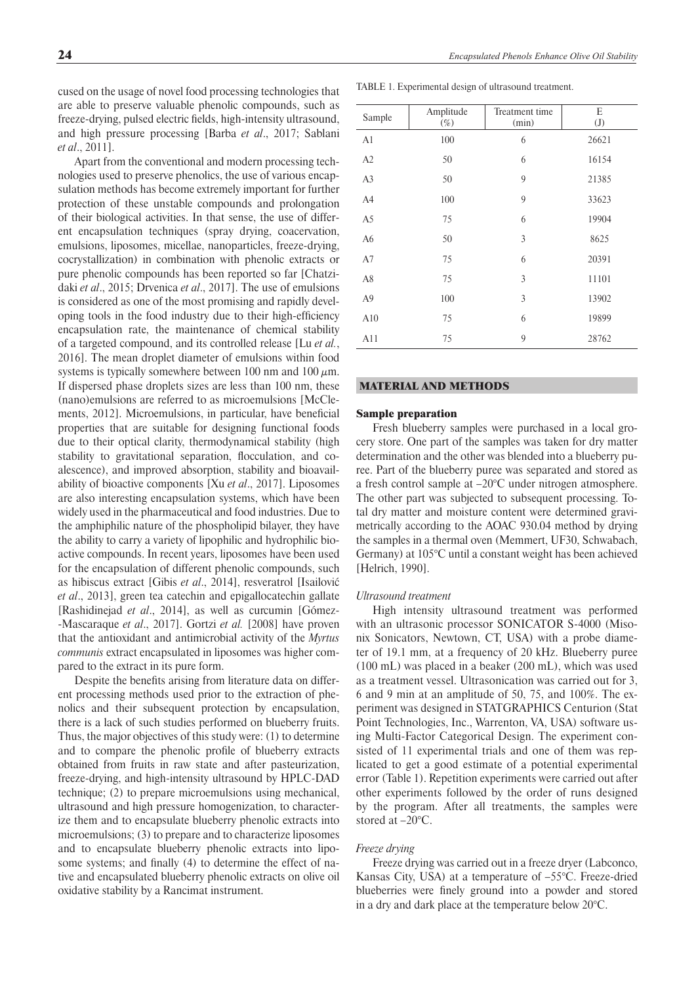*et al*., 2011]. Apart from the conventional and modern processing technologies used to preserve phenolics, the use of various encapsulation methods has become extremely important for further protection of these unstable compounds and prolongation of their biological activities. In that sense, the use of different encapsulation techniques (spray drying, coacervation, emulsions, liposomes, micellae, nanoparticles, freeze-drying, cocrystallization) in combination with phenolic extracts or pure phenolic compounds has been reported so far [Chatzidaki *et al*., 2015; Drvenica *et al*., 2017]. The use of emulsions is considered as one of the most promising and rapidly developing tools in the food industry due to their high-efficiency encapsulation rate, the maintenance of chemical stability of a targeted compound, and its controlled release [Lu *et al.*, 2016]. The mean droplet diameter of emulsions within food systems is typically somewhere between 100 nm and 100  $\mu$ m. If dispersed phase droplets sizes are less than 100 nm, these (nano)emulsions are referred to as microemulsions [McClements, 2012]. Microemulsions, in particular, have beneficial properties that are suitable for designing functional foods due to their optical clarity, thermodynamical stability (high stability to gravitational separation, flocculation, and coalescence), and improved absorption, stability and bioavailability of bioactive components [Xu *et al*., 2017]. Liposomes are also interesting encapsulation systems, which have been widely used in the pharmaceutical and food industries. Due to the amphiphilic nature of the phospholipid bilayer, they have the ability to carry a variety of lipophilic and hydrophilic bioactive compounds. In recent years, liposomes have been used for the encapsulation of different phenolic compounds, such as hibiscus extract [Gibis *et al*., 2014], resveratrol [Isailović *et al*., 2013], green tea catechin and epigallocatechin gallate [Rashidinejad *et al*., 2014], as well as curcumin [Gómez- -Mascaraque *et al*., 2017]. Gortzi *et al.* [2008] have proven that the antioxidant and antimicrobial activity of the *Myrtus communis* extract encapsulated in liposomes was higher compared to the extract in its pure form.

Despite the benefits arising from literature data on different processing methods used prior to the extraction of phenolics and their subsequent protection by encapsulation, there is a lack of such studies performed on blueberry fruits. Thus, the major objectives of this study were: (1) to determine and to compare the phenolic profile of blueberry extracts obtained from fruits in raw state and after pasteurization, freeze-drying, and high-intensity ultrasound by HPLC-DAD technique; (2) to prepare microemulsions using mechanical, ultrasound and high pressure homogenization, to characterize them and to encapsulate blueberry phenolic extracts into microemulsions; (3) to prepare and to characterize liposomes and to encapsulate blueberry phenolic extracts into liposome systems; and finally (4) to determine the effect of native and encapsulated blueberry phenolic extracts on olive oil oxidative stability by a Rancimat instrument.

24 *Encapsulated Phenols Enhance Olive Oil Stability*

TABLE 1. Experimental design of ultrasound treatment.

| Sample         | Amplitude<br>$(\%)$ | Treatment time<br>(min) | E<br>(J) |
|----------------|---------------------|-------------------------|----------|
| A <sub>1</sub> | 100                 | 6                       | 26621    |
| A2             | 50                  | 6                       | 16154    |
| A <sub>3</sub> | 50                  | 9                       | 21385    |
| A4             | 100                 | 9                       | 33623    |
| A5             | 75                  | 6                       | 19904    |
| A <sub>6</sub> | 50                  | 3                       | 8625     |
| A7             | 75                  | 6                       | 20391    |
| A8             | 75                  | 3                       | 11101    |
| A <sub>9</sub> | 100                 | 3                       | 13902    |
| A10            | 75                  | 6                       | 19899    |
| A11            | 75                  | 9                       | 28762    |

# MATERIAL AND METHODS

# Sample preparation

Fresh blueberry samples were purchased in a local grocery store. One part of the samples was taken for dry matter determination and the other was blended into a blueberry puree. Part of the blueberry puree was separated and stored as a fresh control sample at –20°C under nitrogen atmosphere. The other part was subjected to subsequent processing. Total dry matter and moisture content were determined gravimetrically according to the AOAC 930.04 method by drying the samples in a thermal oven (Memmert, UF30, Schwabach, Germany) at 105°C until a constant weight has been achieved [Helrich, 1990].

### *Ultrasound treatment*

High intensity ultrasound treatment was performed with an ultrasonic processor SONICATOR S-4000 (Misonix Sonicators, Newtown, CT, USA) with a probe diameter of 19.1 mm, at a frequency of 20 kHz. Blueberry puree (100 mL) was placed in a beaker (200 mL), which was used as a treatment vessel. Ultrasonication was carried out for 3, 6 and 9 min at an amplitude of 50, 75, and 100%. The experiment was designed in STATGRAPHICS Centurion (Stat Point Technologies, Inc., Warrenton, VA, USA) software using Multi-Factor Categorical Design. The experiment consisted of 11 experimental trials and one of them was replicated to get a good estimate of a potential experimental error (Table 1). Repetition experiments were carried out after other experiments followed by the order of runs designed by the program. After all treatments, the samples were stored at –20°C.

### *Freeze drying*

Freeze drying was carried out in a freeze dryer (Labconco, Kansas City, USA) at a temperature of –55°C. Freeze-dried blueberries were finely ground into a powder and stored in a dry and dark place at the temperature below 20°C.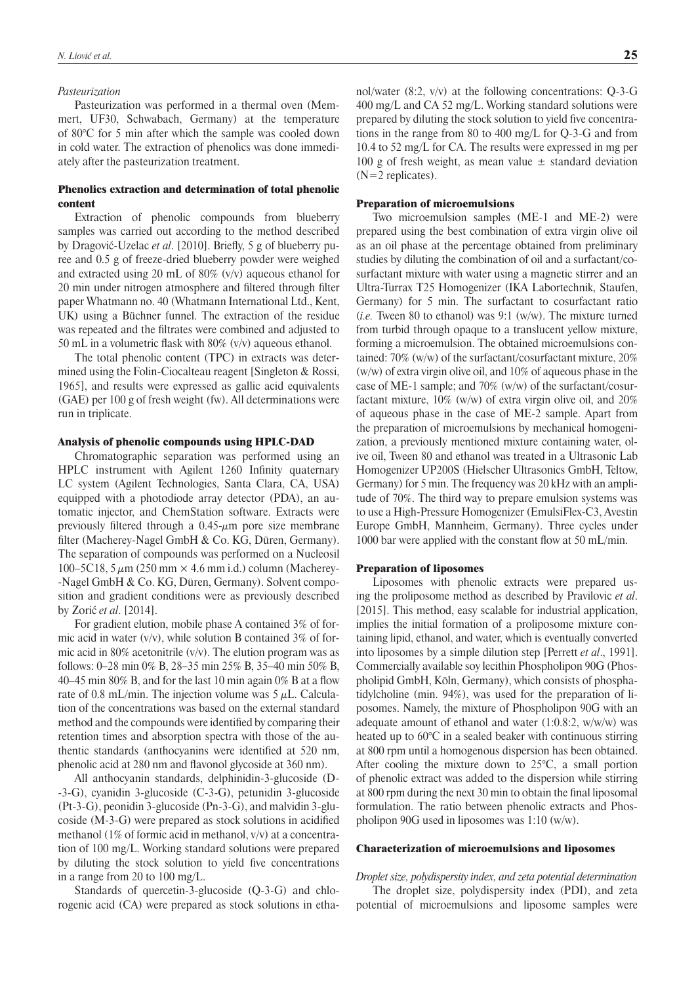#### *Pasteurization*

Pasteurization was performed in a thermal oven (Memmert, UF30, Schwabach, Germany) at the temperature of 80°C for 5 min after which the sample was cooled down in cold water. The extraction of phenolics was done immediately after the pasteurization treatment.

# Phenolics extraction and determination of total phenolic content

Extraction of phenolic compounds from blueberry samples was carried out according to the method described by Dragović-Uzelac *et al.* [2010]. Briefly, 5 g of blueberry puree and 0.5 g of freeze-dried blueberry powder were weighed and extracted using 20 mL of 80% (v/v) aqueous ethanol for 20 min under nitrogen atmosphere and filtered through filter paper Whatmann no. 40 (Whatmann International Ltd., Kent, UK) using a Büchner funnel. The extraction of the residue was repeated and the filtrates were combined and adjusted to 50 mL in a volumetric flask with  $80\%$  (v/v) aqueous ethanol.

The total phenolic content (TPC) in extracts was determined using the Folin-Ciocalteau reagent [Singleton & Rossi, 1965], and results were expressed as gallic acid equivalents (GAE) per 100 g of fresh weight (fw). All determinations were run in triplicate.

### Analysis of phenolic compounds using HPLC-DAD

Chromatographic separation was performed using an HPLC instrument with Agilent 1260 Infinity quaternary LC system (Agilent Technologies, Santa Clara, CA, USA) equipped with a photodiode array detector (PDA), an automatic injector, and ChemStation software. Extracts were previously filtered through a  $0.45$ - $\mu$ m pore size membrane filter (Macherey-Nagel GmbH  $& Co. KG, Düren, Germany$ ). The separation of compounds was performed on a Nucleosil 100–5C18, 5  $\mu$ m (250 mm  $\times$  4.6 mm i.d.) column (Macherey--Nagel GmbH & Co. KG, Düren, Germany). Solvent composition and gradient conditions were as previously described by Zorić *et al*. [2014].

For gradient elution, mobile phase A contained 3% of formic acid in water  $(v/v)$ , while solution B contained 3% of formic acid in 80% acetonitrile  $(v/v)$ . The elution program was as follows: 0–28 min 0% B, 28–35 min 25% B, 35–40 min 50% B, 40–45 min 80% B, and for the last 10 min again 0% B at a flow rate of 0.8 mL/min. The injection volume was  $5 \mu$ L. Calculation of the concentrations was based on the external standard method and the compounds were identified by comparing their retention times and absorption spectra with those of the authentic standards (anthocyanins were identified at 520 nm, phenolic acid at 280 nm and flavonol glycoside at 360 nm).

All anthocyanin standards, delphinidin-3-glucoside (D- -3-G), cyanidin 3-glucoside (C-3-G), petunidin 3-glucoside (Pt-3-G), peonidin 3-glucoside (Pn-3-G), and malvidin 3-glucoside (M-3-G) were prepared as stock solutions in acidified methanol (1% of formic acid in methanol, v/v) at a concentration of 100 mg/L. Working standard solutions were prepared by diluting the stock solution to yield five concentrations in a range from 20 to 100 mg/L.

Standards of quercetin-3-glucoside (Q-3-G) and chlorogenic acid (CA) were prepared as stock solutions in ethanol/water (8:2, v/v) at the following concentrations: Q-3-G 400 mg/L and CA 52 mg/L. Working standard solutions were prepared by diluting the stock solution to yield five concentrations in the range from 80 to 400 mg/L for Q-3-G and from 10.4 to 52 mg/L for CA. The results were expressed in mg per 100 g of fresh weight, as mean value  $\pm$  standard deviation  $(N=2$  replicates).

#### Preparation of microemulsions

Two microemulsion samples (ME-1 and ME-2) were prepared using the best combination of extra virgin olive oil as an oil phase at the percentage obtained from preliminary studies by diluting the combination of oil and a surfactant/cosurfactant mixture with water using a magnetic stirrer and an Ultra-Turrax T25 Homogenizer (IKA Labortechnik, Staufen, Germany) for 5 min. The surfactant to cosurfactant ratio (*i.e.* Tween 80 to ethanol) was 9:1 (w/w). The mixture turned from turbid through opaque to a translucent yellow mixture, forming a microemulsion. The obtained microemulsions contained: 70% (w/w) of the surfactant/cosurfactant mixture, 20% (w/w) of extra virgin olive oil, and 10% of aqueous phase in the case of ME-1 sample; and 70% (w/w) of the surfactant/cosurfactant mixture, 10% (w/w) of extra virgin olive oil, and 20% of aqueous phase in the case of ME-2 sample. Apart from the preparation of microemulsions by mechanical homogenization, a previously mentioned mixture containing water, olive oil, Tween 80 and ethanol was treated in a Ultrasonic Lab Homogenizer UP200S (Hielscher Ultrasonics GmbH, Teltow, Germany) for 5 min. The frequency was 20 kHz with an amplitude of 70%. The third way to prepare emulsion systems was to use a High-Pressure Homogenizer (EmulsiFlex-C3, Avestin Europe GmbH, Mannheim, Germany). Three cycles under 1000 bar were applied with the constant flow at 50 mL/min.

#### Preparation of liposomes

Liposomes with phenolic extracts were prepared using the proliposome method as described by Pravilovic *et al*. [2015]. This method, easy scalable for industrial application, implies the initial formation of a proliposome mixture containing lipid, ethanol, and water, which is eventually converted into liposomes by a simple dilution step [Perrett *et al*., 1991]. Commercially available soy lecithin Phospholipon 90G (Phospholipid GmbH, Köln, Germany), which consists of phosphatidylcholine (min. 94%), was used for the preparation of liposomes. Namely, the mixture of Phospholipon 90G with an adequate amount of ethanol and water (1:0.8:2, w/w/w) was heated up to 60°C in a sealed beaker with continuous stirring at 800 rpm until a homogenous dispersion has been obtained. After cooling the mixture down to 25°C, a small portion of phenolic extract was added to the dispersion while stirring at 800 rpm during the next 30 min to obtain the final liposomal formulation. The ratio between phenolic extracts and Phospholipon 90G used in liposomes was 1:10 (w/w).

# Characterization of microemulsions and liposomes

*Droplet size, polydispersity index, and zeta potential determination*

The droplet size, polydispersity index (PDI), and zeta potential of microemulsions and liposome samples were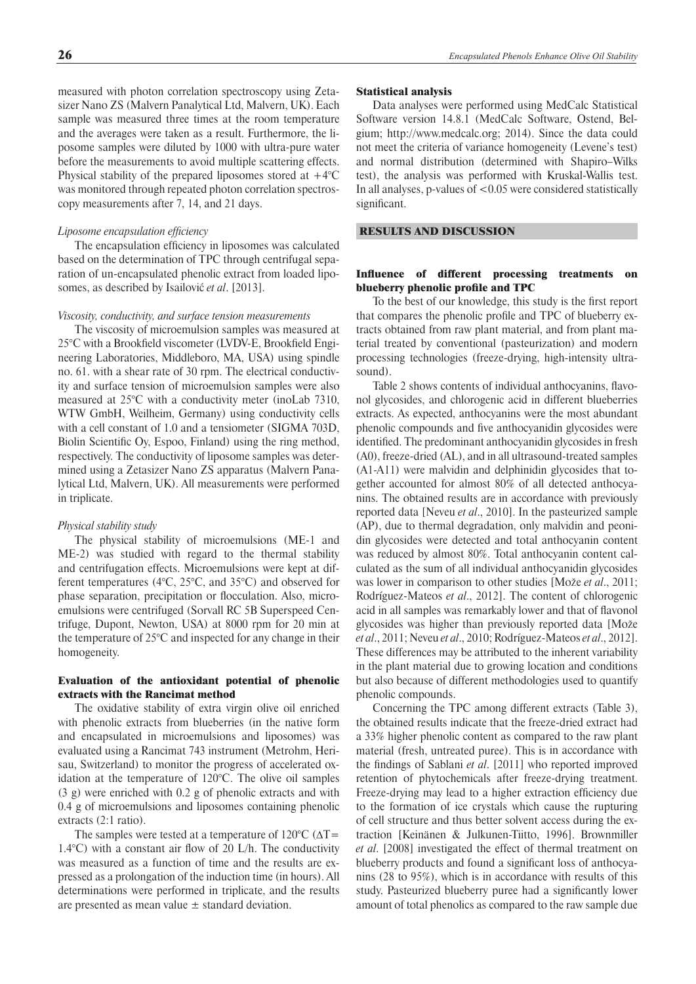measured with photon correlation spectroscopy using Zetasizer Nano ZS (Malvern Panalytical Ltd, Malvern, UK). Each sample was measured three times at the room temperature and the averages were taken as a result. Furthermore, the liposome samples were diluted by 1000 with ultra-pure water before the measurements to avoid multiple scattering effects. Physical stability of the prepared liposomes stored at  $+4^{\circ}$ C was monitored through repeated photon correlation spectroscopy measurements after 7, 14, and 21 days.

#### *Liposome encapsulation efficiency*

The encapsulation efficiency in liposomes was calculated based on the determination of TPC through centrifugal separation of un-encapsulated phenolic extract from loaded liposomes, as described by Isailović *et al*. [2013].

#### *Viscosity, conductivity, and surface tension measurements*

The viscosity of microemulsion samples was measured at  $25^{\circ}$ C with a Brookfield viscometer (LVDV-E, Brookfield Engineering Laboratories, Middleboro, MA, USA) using spindle no. 61. with a shear rate of 30 rpm. The electrical conductivity and surface tension of microemulsion samples were also measured at 25°C with a conductivity meter (inoLab 7310, WTW GmbH, Weilheim, Germany) using conductivity cells with a cell constant of 1.0 and a tensiometer (SIGMA 703D, Biolin Scientific Oy, Espoo, Finland) using the ring method, respectively. The conductivity of liposome samples was determined using a Zetasizer Nano ZS apparatus (Malvern Panalytical Ltd, Malvern, UK). All measurements were performed in triplicate.

#### *Physical stability study*

The physical stability of microemulsions (ME-1 and ME-2) was studied with regard to the thermal stability and centrifugation effects. Microemulsions were kept at different temperatures (4°C, 25°C, and 35°C) and observed for phase separation, precipitation or flocculation. Also, microemulsions were centrifuged (Sorvall RC 5B Superspeed Centrifuge, Dupont, Newton, USA) at 8000 rpm for 20 min at the temperature of 25°C and inspected for any change in their homogeneity.

### Evaluation of the antioxidant potential of phenolic extracts with the Rancimat method

The oxidative stability of extra virgin olive oil enriched with phenolic extracts from blueberries (in the native form and encapsulated in microemulsions and liposomes) was evaluated using a Rancimat 743 instrument (Metrohm, Herisau, Switzerland) to monitor the progress of accelerated oxidation at the temperature of 120°C. The olive oil samples (3 g) were enriched with 0.2 g of phenolic extracts and with 0.4 g of microemulsions and liposomes containing phenolic extracts (2:1 ratio).

The samples were tested at a temperature of  $120^{\circ}$ C ( $\Delta$ T= 1.4 $^{\circ}$ C) with a constant air flow of 20 L/h. The conductivity was measured as a function of time and the results are expressed as a prolongation of the induction time (in hours). All determinations were performed in triplicate, and the results are presented as mean value  $\pm$  standard deviation.

#### Statistical analysis

Data analyses were performed using MedCalc Statistical Software version 14.8.1 (MedCalc Software, Ostend, Belgium; http://www.medcalc.org; 2014). Since the data could not meet the criteria of variance homogeneity (Levene's test) and normal distribution (determined with Shapiro–Wilks test), the analysis was performed with Kruskal-Wallis test. In all analyses, p-values of <0.05 were considered statistically significant.

### RESULTS AND DISCUSSION

# Influence of different processing treatments on blueberry phenolic profile and TPC

To the best of our knowledge, this study is the first report that compares the phenolic profile and TPC of blueberry extracts obtained from raw plant material, and from plant material treated by conventional (pasteurization) and modern processing technologies (freeze-drying, high-intensity ultrasound).

Table 2 shows contents of individual anthocyanins, flavonol glycosides, and chlorogenic acid in different blueberries extracts. As expected, anthocyanins were the most abundant phenolic compounds and five anthocyanidin glycosides were identified. The predominant anthocyanidin glycosides in fresh (A0), freeze-dried (AL), and in all ultrasound-treated samples (A1-A11) were malvidin and delphinidin glycosides that together accounted for almost 80% of all detected anthocyanins. The obtained results are in accordance with previously reported data [Neveu *et al*., 2010]. In the pasteurized sample (AP), due to thermal degradation, only malvidin and peonidin glycosides were detected and total anthocyanin content was reduced by almost 80%. Total anthocyanin content calculated as the sum of all individual anthocyanidin glycosides was lower in comparison to other studies [Može *et al*., 2011; Rodríguez-Mateos *et al*., 2012]. The content of chlorogenic acid in all samples was remarkably lower and that of flavonol glycosides was higher than previously reported data [Može *et al*., 2011; Neveu *et al*., 2010; Rodríguez-Mateos *et al*., 2012]. These differences may be attributed to the inherent variability in the plant material due to growing location and conditions but also because of different methodologies used to quantify phenolic compounds.

Concerning the TPC among different extracts (Table 3), the obtained results indicate that the freeze-dried extract had a 33% higher phenolic content as compared to the raw plant material (fresh, untreated puree). This is in accordance with the findings of Sablani *et al.* [2011] who reported improved retention of phytochemicals after freeze-drying treatment. Freeze-drying may lead to a higher extraction efficiency due to the formation of ice crystals which cause the rupturing of cell structure and thus better solvent access during the extraction [Keinänen & Julkunen-Tiitto, 1996]. Brownmiller *et al*. [2008] investigated the effect of thermal treatment on blueberry products and found a significant loss of anthocyanins (28 to 95%), which is in accordance with results of this study. Pasteurized blueberry puree had a significantly lower amount of total phenolics as compared to the raw sample due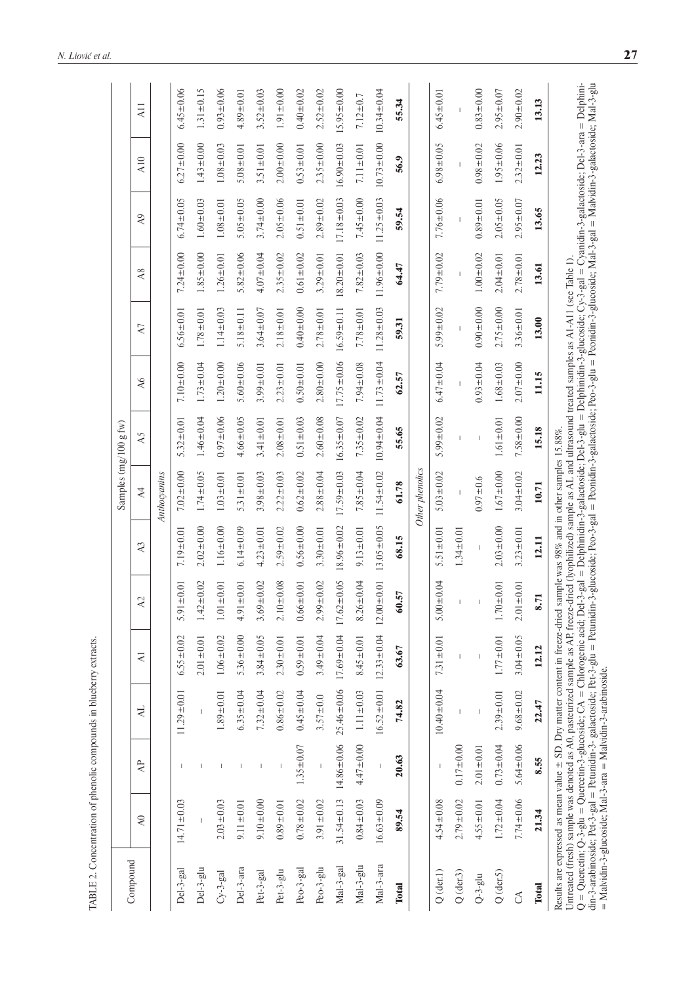|                                                                                                                                                                                                                                                                     |                                                                                                                                                                                                                                                                                                                                                                                                                                  |                  |                  |                  |                  |                  | Samples (mg/100 g fw)                                                                    |                  |                  |                  |                  |                  |                  |                  |
|---------------------------------------------------------------------------------------------------------------------------------------------------------------------------------------------------------------------------------------------------------------------|----------------------------------------------------------------------------------------------------------------------------------------------------------------------------------------------------------------------------------------------------------------------------------------------------------------------------------------------------------------------------------------------------------------------------------|------------------|------------------|------------------|------------------|------------------|------------------------------------------------------------------------------------------|------------------|------------------|------------------|------------------|------------------|------------------|------------------|
| Compound                                                                                                                                                                                                                                                            | $\lambda 0$                                                                                                                                                                                                                                                                                                                                                                                                                      | $\overline{A}$   | $\overline{A}$   | $\overline{A}$   | $\lambda2$       | $\lambda$ 3      | $\overline{4}$                                                                           | A5               | $\overline{A6}$  | $\Delta$         | A8               | A <sub>9</sub>   | A10              | A11              |
|                                                                                                                                                                                                                                                                     |                                                                                                                                                                                                                                                                                                                                                                                                                                  |                  |                  |                  |                  |                  | Anthocyanins                                                                             |                  |                  |                  |                  |                  |                  |                  |
| Del-3-gal                                                                                                                                                                                                                                                           | $14.71 \pm 0.03$                                                                                                                                                                                                                                                                                                                                                                                                                 |                  | $11.29 \pm 0.01$ | $6.55 \pm 0.02$  | $5.91 \pm 0.01$  | $7.19 \pm 0.01$  | $7.02 \pm 0.00$                                                                          | $5.32 \pm 0.01$  | $7.10 \pm 0.00$  | $6.56 \pm 0.01$  | $7.24 \pm 0.00$  | $6.74 \pm 0.05$  | $6.27 \pm 0.00$  | $6.45 \pm 0.06$  |
| Del-3-glu                                                                                                                                                                                                                                                           |                                                                                                                                                                                                                                                                                                                                                                                                                                  |                  |                  | $2.01 \pm 0.01$  | $1.42 \pm 0.02$  | $2.02 \pm 0.00$  | $1.74 \pm 0.05$                                                                          | $1.46 \pm 0.04$  | $1.73 \pm 0.04$  | $1.78 \pm 0.01$  | $1.85 \pm 0.00$  | $1.60 \pm 0.03$  | $1.43 + 0.00$    | $1.31 \pm 0.15$  |
| $Cy-3-gal$                                                                                                                                                                                                                                                          | $2.03 + 0.03$                                                                                                                                                                                                                                                                                                                                                                                                                    |                  | $1.89 \pm 0.01$  | $1.06 \pm 0.02$  | $1.01 \pm 0.01$  | $1.16 \pm 0.00$  | $1.03 \pm 0.01$                                                                          | $0.97 + 0.06$    | $1.20 \pm 0.00$  | $1.14 \pm 0.03$  | $1.26 \pm 0.01$  | $1.08 + 0.01$    | $1.08 \pm 0.03$  | $0.93 \pm 0.06$  |
| Del-3-ara                                                                                                                                                                                                                                                           | $9.11 \pm 0.01$                                                                                                                                                                                                                                                                                                                                                                                                                  |                  | $6.35 \pm 0.04$  | $5.36 \pm 0.00$  | $4.91 \pm 0.01$  | $6.14 \pm 0.09$  | $5.31 \pm 0.01$                                                                          | $4.66 \pm 0.05$  | $5.60 \pm 0.06$  | $5.18 \pm 0.11$  | $5.82 \pm 0.06$  | $5.05 \pm 0.05$  | $5.08 \pm 0.01$  | $4.89 \pm 0.01$  |
| Pet-3-gal                                                                                                                                                                                                                                                           | $9.10 \pm 0.00$                                                                                                                                                                                                                                                                                                                                                                                                                  |                  | $7.32 \pm 0.04$  | $3.84 \pm 0.05$  | $3.69 \pm 0.02$  | $4.23 \pm 0.01$  | $3.98 \pm 0.03$                                                                          | $3.41 \pm 0.01$  | $3.99 \pm 0.01$  | $3.64 \pm 0.07$  | $4.07 + 0.04$    | $3.74 \pm 0.00$  | $3.51 \pm 0.01$  | $3.52 \pm 0.03$  |
| Pet-3-glu                                                                                                                                                                                                                                                           | $0.89 \pm 0.01$                                                                                                                                                                                                                                                                                                                                                                                                                  |                  | $0.86 \pm 0.02$  | $2.30 \pm 0.01$  | $2.10 \pm 0.08$  | $2.59 \pm 0.02$  | $2.22 \pm 0.03$                                                                          | $2.08 \pm 0.01$  | $2.23 \pm 0.01$  | $2.18 \pm 0.01$  | $2.35 \pm 0.02$  | $2.05 \pm 0.06$  | $2.00 + 0.00$    | $1.91 \pm 0.00$  |
| Peo-3-gal                                                                                                                                                                                                                                                           | $0.78 + 0.02$                                                                                                                                                                                                                                                                                                                                                                                                                    | $1.35 \pm 0.07$  | $0.45 \pm 0.04$  | $0.59 \pm 0.01$  | $0.66 \pm 0.01$  | $0.56 \pm 0.00$  | $0.62 \pm 0.02$                                                                          | $0.51 \pm 0.03$  | $0.50 \pm 0.01$  | $0.40 + 0.00$    | $0.61 \pm 0.02$  | $0.51 \pm 0.01$  | $0.53 \pm 0.01$  | $0.40 \pm 0.02$  |
| Peo-3-glu                                                                                                                                                                                                                                                           | $3.91 \pm 0.02$                                                                                                                                                                                                                                                                                                                                                                                                                  |                  | $3.57 + 0.0$     | $3.49 \pm 0.04$  | $2.99 + 0.02$    | $3.30 \pm 0.01$  | $2.88 \pm 0.04$                                                                          | $2.60 \pm 0.08$  | $2.80 + 0.00$    | $2.78 \pm 0.01$  | $3.29 \pm 0.01$  | $2.89 \pm 0.02$  | $2.35 \pm 0.00$  | $2.52 \pm 0.02$  |
| Mal-3-gal                                                                                                                                                                                                                                                           | $31.54 \pm 0.13$                                                                                                                                                                                                                                                                                                                                                                                                                 | $14.86 \pm 0.06$ | $25.46 \pm 0.06$ | $17.69 \pm 0.04$ | $17.62 \pm 0.05$ | $18.96 \pm 0.02$ | $17.59 \pm 0.03$                                                                         | $16.35 \pm 0.07$ | $17.75 \pm 0.06$ | $16.59 \pm 0.11$ | $18.20 \pm 0.01$ | $17.18 \pm 0.03$ | $16.90 \pm 0.03$ | $15.95 \pm 0.00$ |
| Mal-3-glu                                                                                                                                                                                                                                                           | $0.84 \pm 0.03$                                                                                                                                                                                                                                                                                                                                                                                                                  | $4.47 + 0.00$    | $1.11 \pm 0.03$  | $8.45 \pm 0.01$  | $8.26 \pm 0.04$  | $9.13 \pm 0.01$  | $7.85 \pm 0.04$                                                                          | $7.35 \pm 0.02$  | $7.94 \pm 0.08$  | $7.78 + 0.01$    | $7.82 \pm 0.03$  | $7.45 + 0.00$    | $7.11 \pm 0.01$  | $7.12 \pm 0.7$   |
| $Mal-3-ara$                                                                                                                                                                                                                                                         | $16.63 \pm 0.09$                                                                                                                                                                                                                                                                                                                                                                                                                 |                  | $16.52 \pm 0.01$ | $12.33 \pm 0.04$ | $12.00 \pm 0.01$ | $13.05 \pm 0.05$ | $11.54 \pm 0.02$                                                                         | $10.94 \pm 0.04$ | $11.73 \pm 0.04$ | $11.28 \pm 0.03$ | $11.96 \pm 0.00$ | $11.25 \pm 0.03$ | $10.73 \pm 0.00$ | $10.34 \pm 0.04$ |
| Total                                                                                                                                                                                                                                                               | 89.54                                                                                                                                                                                                                                                                                                                                                                                                                            | 20.63            | 74.82            | 63.67            | 60.57            | 68.15            | 61.78                                                                                    | 55.65            | 62.57            | 59.31            | 64.47            | 59.54            | 56.9             | 55.34            |
|                                                                                                                                                                                                                                                                     |                                                                                                                                                                                                                                                                                                                                                                                                                                  |                  |                  |                  |                  |                  | Other phenolics                                                                          |                  |                  |                  |                  |                  |                  |                  |
| $Q$ (der.1)                                                                                                                                                                                                                                                         | $4.54 \pm 0.08$                                                                                                                                                                                                                                                                                                                                                                                                                  |                  | $10.40 \pm 0.04$ | $7.31 \pm 0.01$  | $5.00 \pm 0.04$  | $5.51 \pm 0.01$  | $5.03 \pm 0.02$                                                                          | $5.99 \pm 0.02$  | $6.47 \pm 0.04$  | $5.99 \pm 0.02$  | $7.79 \pm 0.02$  | $7.76 \pm 0.06$  | $6.98 \pm 0.05$  | $6.45 \pm 0.01$  |
| $Q$ (der.3)                                                                                                                                                                                                                                                         | $2.79 \pm 0.02$                                                                                                                                                                                                                                                                                                                                                                                                                  | $0.17 + 0.00$    |                  |                  |                  | $1.34 \pm 0.01$  |                                                                                          |                  |                  |                  |                  |                  |                  |                  |
| $Q-3-glu$                                                                                                                                                                                                                                                           | $4.55 \pm 0.01$                                                                                                                                                                                                                                                                                                                                                                                                                  | $2.01 \pm 0.01$  | $\overline{1}$   | $\overline{1}$   |                  |                  | $0.97 + 0.6$                                                                             | $\mathbb I$      | $0.93 \pm 0.04$  | $0.90 \pm 0.00$  | $1.00 + 0.02$    | $0.89 \pm 0.01$  | $0.98 \pm 0.02$  | $0.83 + 0.00$    |
| $Q$ (der.5)                                                                                                                                                                                                                                                         | $1.72 \pm 0.04$                                                                                                                                                                                                                                                                                                                                                                                                                  | $0.73 + 0.04$    | $2.39 \pm 0.01$  | $1.77 \pm 0.01$  | $1.70 \pm 0.01$  | $2.03 \pm 0.00$  | $1.67 + 0.00$                                                                            | $1.61 \pm 0.01$  | $1.68 \pm 0.03$  | $2.75 \pm 0.00$  | $2.04 \pm 0.01$  | $2.05 \pm 0.05$  | $1.95 \pm 0.06$  | $2.95 \pm 0.07$  |
| S                                                                                                                                                                                                                                                                   | $7.74 \pm 0.06$                                                                                                                                                                                                                                                                                                                                                                                                                  | $5.64 \pm 0.06$  | $9.68 \pm 0.02$  | $3.04 \pm 0.05$  | $2.01 \pm 0.01$  | $3.23 \pm 0.01$  | $3.04 \pm 0.02$                                                                          | $7.58 \pm 0.00$  | $2.07 + 0.00$    | $3.36 \pm 0.01$  | $2.78 \pm 0.01$  | $2.95 \pm 0.07$  | $2.32 \pm 0.01$  | $2.90 \pm 0.02$  |
| <b>Total</b>                                                                                                                                                                                                                                                        | 21.34                                                                                                                                                                                                                                                                                                                                                                                                                            | 8.55             | 22.47            | 12.12            | 8.71             | 12.11            | 10.71                                                                                    | 15.18            | 11.15            | 13.00            | 13.61            | 13.65            | 12.23            | 13.13            |
| din-3-arabinoside; Pet-3-gal = Petunidin-3- galactoside; Pet-3-glu = Petunidin-3-gulooside; Peo-3-gal actoside; Peo-3-glu = Peonidin-3-glu coside; Nal-3-gal = Malvidin-3-galactoside; Nal-3-glu<br>$=$ Malvidin-3-glucoside; Mal-3-ara $=$ Malvidin-3-arabinoside. | $Q = Quercetin-3-gluccoid; CA = Chlorogenic acid; Det-3-gal = Dephinidin-3-galactoside; Det-3-glu = Delphinidin-3-gluccoside; Cy-3-gal = Cyanidin-3-galactoside; Det-3-ana = Delplin-3-galactoside; Det-3-ana$<br>Results are expressed as mean value $\pm$ SD. Dry matter content in freeze-dried sample was 98% and in other samples 15.88%.<br>Untreated (fresh) sample was denoted as A0, pasteurized sample as AP, freeze-d |                  |                  |                  |                  |                  | lried (lyophilized) sample as AL and ultrasound treated samples as A1-A11 (see Table 1). |                  |                  |                  |                  |                  |                  |                  |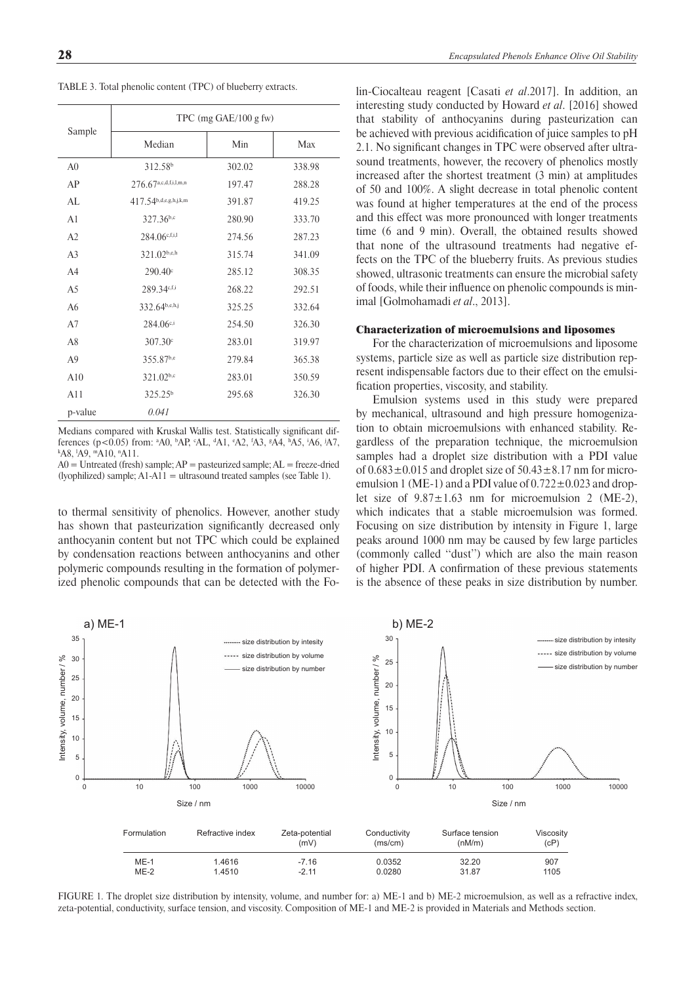TABLE 3. Total phenolic content (TPC) of blueberry extracts.

|                | TPC (mg $GAE/100$ g fw)           |        |        |  |  |  |
|----------------|-----------------------------------|--------|--------|--|--|--|
| Sample         | Median                            | Min    | Max    |  |  |  |
| A <sub>0</sub> | 312.58 <sup>b</sup>               | 302.02 | 338.98 |  |  |  |
| AP             | $276.67^{\text{a,c,d,f,i,l,m,n}}$ | 197.47 | 288.28 |  |  |  |
| AL             | $417.54^{b,d,e,g,h,j,k,m}$        | 391.87 | 419.25 |  |  |  |
| A <sub>1</sub> | 327.36b,c                         | 280.90 | 333.70 |  |  |  |
| A <sub>2</sub> | 284.06c,f,i,l                     | 274.56 | 287.23 |  |  |  |
| A <sub>3</sub> | 321.02b,e,h                       | 315.74 | 341.09 |  |  |  |
| A <sub>4</sub> | 290.40 <sup>c</sup>               | 285.12 | 308.35 |  |  |  |
| A <sub>5</sub> | 289.34c,f,i                       | 268.22 | 292.51 |  |  |  |
| A6             | 332.64b,e,h,j                     | 325.25 | 332.64 |  |  |  |
| A7             | $284.06^{c,i}$                    | 254.50 | 326.30 |  |  |  |
| A8             | 307.30 <sup>c</sup>               | 283.01 | 319.97 |  |  |  |
| A <sub>9</sub> | 355.87b,e                         | 279.84 | 365.38 |  |  |  |
| A10            | 321.02b,c                         | 283.01 | 350.59 |  |  |  |
| A11            | 325.25 <sup>b</sup>               | 295.68 | 326.30 |  |  |  |
| p-value        | 0.041                             |        |        |  |  |  |

Medians compared with Kruskal Wallis test. Statistically significant differences (p<0.05) from: <sup>a</sup>A0, <sup>b</sup>AP, <sup>c</sup>AL, <sup>d</sup>A1, <sup>c</sup>A2, <sup>f</sup>A3, <sup>g</sup>A4, <sup>h</sup>A5, <sup>i</sup>A6, <sup>j</sup>A7,<br>kas +a9 ma10 na11 A8, <sup>1</sup>A9, <sup>m</sup>A10, <sup>n</sup>A11.

 $A0 =$  Untreated (fresh) sample;  $AP =$  pasteurized sample;  $AL =$  freeze-dried (lyophilized) sample; A1-A11 = ultrasound treated samples (see Table 1).

to thermal sensitivity of phenolics. However, another study has shown that pasteurization significantly decreased only anthocyanin content but not TPC which could be explained by condensation reactions between anthocyanins and other polymeric compounds resulting in the formation of polymerized phenolic compounds that can be detected with the Fo-

lin-Ciocalteau reagent [Casati *et al*.2017]. In addition, an interesting study conducted by Howard *et al*. [2016] showed that stability of anthocyanins during pasteurization can be achieved with previous acidification of juice samples to pH 2.1. No significant changes in TPC were observed after ultrasound treatments, however, the recovery of phenolics mostly increased after the shortest treatment (3 min) at amplitudes of 50 and 100%. A slight decrease in total phenolic content was found at higher temperatures at the end of the process and this effect was more pronounced with longer treatments time (6 and 9 min). Overall, the obtained results showed that none of the ultrasound treatments had negative effects on the TPC of the blueberry fruits. As previous studies showed, ultrasonic treatments can ensure the microbial safety of foods, while their influence on phenolic compounds is minimal [Golmohamadi *et al*., 2013].

# Characterization of microemulsions and liposomes

For the characterization of microemulsions and liposome systems, particle size as well as particle size distribution represent indispensable factors due to their effect on the emulsification properties, viscosity, and stability.

Emulsion systems used in this study were prepared by mechanical, ultrasound and high pressure homogenization to obtain microemulsions with enhanced stability. Regardless of the preparation technique, the microemulsion samples had a droplet size distribution with a PDI value of  $0.683 \pm 0.015$  and droplet size of  $50.43 \pm 8.17$  nm for microemulsion 1 (ME-1) and a PDI value of  $0.722 \pm 0.023$  and droplet size of  $9.87 \pm 1.63$  nm for microemulsion 2 (ME-2), which indicates that a stable microemulsion was formed. Focusing on size distribution by intensity in Figure 1, large peaks around 1000 nm may be caused by few large particles (commonly called ''dust'') which are also the main reason of higher PDI. A confirmation of these previous statements is the absence of these peaks in size distribution by number.



FIGURE 1. The droplet size distribution by intensity, volume, and number for: a) ME-1 and b) ME-2 microemulsion, as well as a refractive index, zeta-potential, conductivity, surface tension, and viscosity. Composition of ME-1 and ME-2 is provided in Materials and Methods section.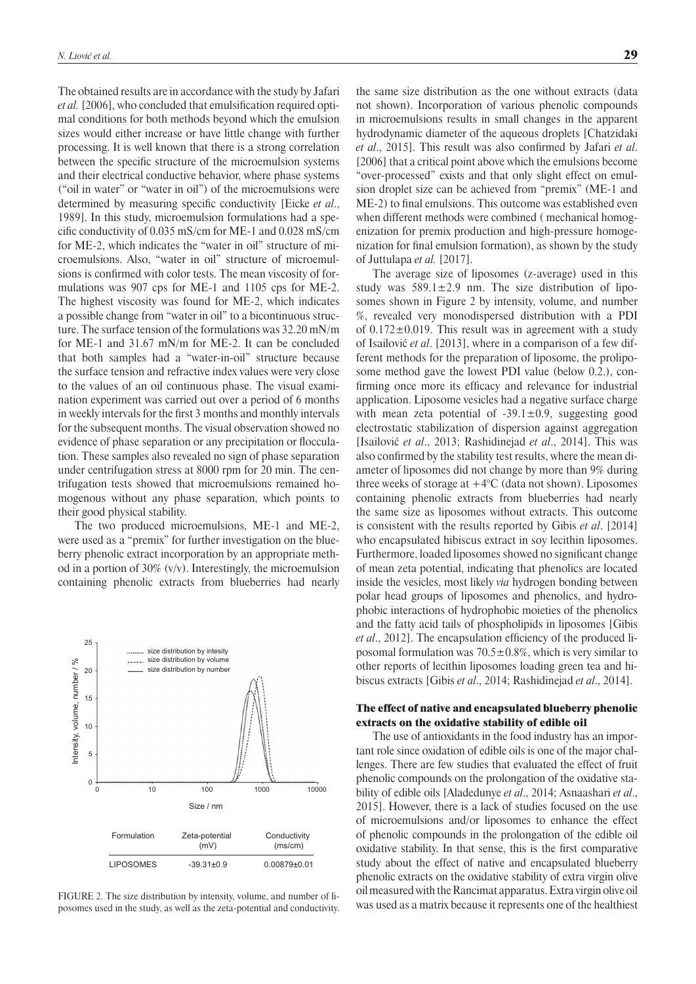The obtained results are in accordance with the study by Jafari *et al.* [2006], who concluded that emulsification required optimal conditions for both methods beyond which the emulsion sizes would either increase or have little change with further processing. It is well known that there is a strong correlation between the specific structure of the microemulsion systems and their electrical conductive behavior, where phase systems ("oil in water" or "water in oil") of the microemulsions were determined by measuring specific conductivity [Eicke *et al.*, 1989]. In this study, microemulsion formulations had a specific conductivity of  $0.035$  mS/cm for ME-1 and  $0.028$  mS/cm for ME-2, which indicates the "water in oil" structure of microemulsions. Also, "water in oil" structure of microemulsions is confirmed with color tests. The mean viscosity of formulations was 907 cps for ME-1 and 1105 cps for ME-2. The highest viscosity was found for ME-2, which indicates a possible change from "water in oil" to a bicontinuous structure. The surface tension of the formulations was 32.20 mN/m for ME-1 and 31.67 mN/m for ME-2. It can be concluded that both samples had a "water-in-oil" structure because the surface tension and refractive index values were very close to the values of an oil continuous phase. The visual examination experiment was carried out over a period of 6 months in weekly intervals for the first 3 months and monthly intervals for the subsequent months. The visual observation showed no evidence of phase separation or any precipitation or flocculation. These samples also revealed no sign of phase separation under centrifugation stress at 8000 rpm for 20 min. The centrifugation tests showed that microemulsions remained homogenous without any phase separation, which points to their good physical stability.

The two produced microemulsions, ME-1 and ME-2, were used as a "premix" for further investigation on the blueberry phenolic extract incorporation by an appropriate method in a portion of 30% (v/v). Interestingly, the microemulsion containing phenolic extracts from blueberries had nearly



FIGURE 2. The size distribution by intensity, volume, and number of liposomes used in the study, as well as the zeta-potential and conductivity.

the same size distribution as the one without extracts (data not shown). Incorporation of various phenolic compounds in microemulsions results in small changes in the apparent hydrodynamic diameter of the aqueous droplets [Chatzidaki *et al.*, 2015]. This result was also confirmed by Jafari *et al.* [2006] that a critical point above which the emulsions become "over-processed" exists and that only slight effect on emulsion droplet size can be achieved from "premix" (ME-1 and ME-2) to final emulsions. This outcome was established even when different methods were combined ( mechanical homogenization for premix production and high-pressure homogenization for final emulsion formation), as shown by the study of Juttulapa *et al.* [2017].

The average size of liposomes (z-average) used in this study was  $589.1 \pm 2.9$  nm. The size distribution of liposomes shown in Figure 2 by intensity, volume, and number %, revealed very monodispersed distribution with a PDI of  $0.172 \pm 0.019$ . This result was in agreement with a study of Isailović *et al*. [2013], where in a comparison of a few different methods for the preparation of liposome, the proliposome method gave the lowest PDI value (below 0.2.), confirming once more its efficacy and relevance for industrial application. Liposome vesicles had a negative surface charge with mean zeta potential of  $-39.1 \pm 0.9$ , suggesting good electrostatic stabilization of dispersion against aggregation [Isailović *et al*., 2013; Rashidinejad *et al*., 2014]. This was also confirmed by the stability test results, where the mean diameter of liposomes did not change by more than 9% during three weeks of storage at  $+4^{\circ}$ C (data not shown). Liposomes containing phenolic extracts from blueberries had nearly the same size as liposomes without extracts. This outcome is consistent with the results reported by Gibis *et al*. [2014] who encapsulated hibiscus extract in soy lecithin liposomes. Furthermore, loaded liposomes showed no significant change of mean zeta potential, indicating that phenolics are located inside the vesicles, most likely *via* hydrogen bonding between polar head groups of liposomes and phenolics, and hydrophobic interactions of hydrophobic moieties of the phenolics and the fatty acid tails of phospholipids in liposomes [Gibis *et al.*, 2012]. The encapsulation efficiency of the produced liposomal formulation was  $70.5 \pm 0.8\%$ , which is very similar to other reports of lecithin liposomes loading green tea and hibiscus extracts [Gibis *et al*., 2014; Rashidinejad *et al*., 2014].

# The effect of native and encapsulated blueberry phenolic extracts on the oxidative stability of edible oil

The use of antioxidants in the food industry has an important role since oxidation of edible oils is one of the major challenges. There are few studies that evaluated the effect of fruit phenolic compounds on the prolongation of the oxidative stability of edible oils [Aladedunye *et al*., 2014; Asnaashari *et al*., 2015]. However, there is a lack of studies focused on the use of microemulsions and/or liposomes to enhance the effect of phenolic compounds in the prolongation of the edible oil oxidative stability. In that sense, this is the first comparative study about the effect of native and encapsulated blueberry phenolic extracts on the oxidative stability of extra virgin olive oil measured with theRancimat apparatus. Extra virgin olive oil was used as a matrix because it represents one of the healthiest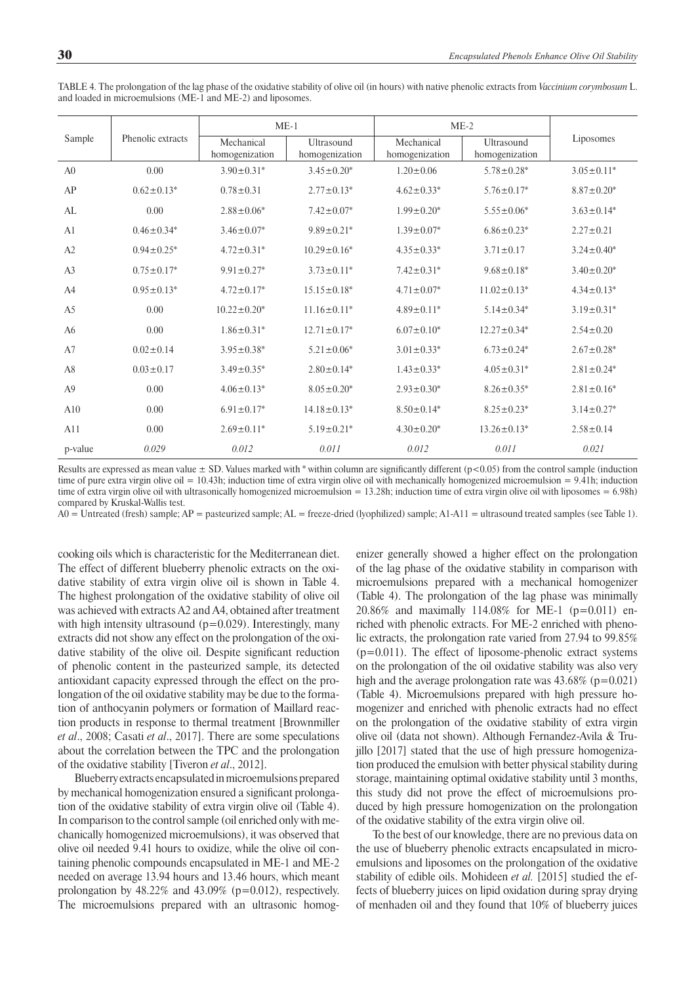|                |                              | $ME-1$                       |                              | $ME-2$                       |                               |                   |
|----------------|------------------------------|------------------------------|------------------------------|------------------------------|-------------------------------|-------------------|
| Sample         | Phenolic extracts            | Mechanical<br>homogenization | Ultrasound<br>homogenization | Mechanical<br>homogenization | Ultrasound<br>homogenization  | Liposomes         |
| A <sub>0</sub> | 0.00                         | $3.90 \pm 0.31*$             | $3.45 \pm 0.20^*$            | $1.20 \pm 0.06$              | $5.78 \pm 0.28$ *             | $3.05 \pm 0.11*$  |
| AP             | $0.62 \pm 0.13$ <sup>*</sup> | $0.78 \pm 0.31$              | $2.77 \pm 0.13$ *            | $4.62 \pm 0.33*$             | $5.76 \pm 0.17^*$             | $8.87 \pm 0.20$ * |
| AL             | 0.00                         | $2.88 \pm 0.06^*$            | $7.42 \pm 0.07*$             | $1.99 \pm 0.20^*$            | $5.55 \pm 0.06^*$             | $3.63 \pm 0.14*$  |
| A <sub>1</sub> | $0.46 \pm 0.34*$             | $3.46 \pm 0.07^*$            | $9.89 \pm 0.21$ *            | $1.39 \pm 0.07^*$            | $6.86 \pm 0.23$ *             | $2.27 \pm 0.21$   |
| A2             | $0.94 \pm 0.25^*$            | $4.72 \pm 0.31^*$            | $10.29 \pm 0.16^*$           | $4.35 \pm 0.33^*$            | $3.71 \pm 0.17$               | $3.24 \pm 0.40^*$ |
| A <sub>3</sub> | $0.75 \pm 0.17^*$            | $9.91 \pm 0.27$ *            | $3.73 \pm 0.11^*$            | $7.42 \pm 0.31$ *            | $9.68 \pm 0.18^*$             | $3.40 \pm 0.20^*$ |
| A <sub>4</sub> | $0.95 \pm 0.13^*$            | $4.72 \pm 0.17^*$            | $15.15 \pm 0.18^*$           | $4.71 \pm 0.07^*$            | $11.02 \pm 0.13$ <sup>*</sup> | $4.34 \pm 0.13$ * |
| A <sub>5</sub> | 0.00                         | $10.22 \pm 0.20^*$           | $11.16 \pm 0.11^*$           | $4.89 \pm 0.11*$             | $5.14 \pm 0.34*$              | $3.19 \pm 0.31$ * |
| A <sub>6</sub> | 0.00                         | $1.86 \pm 0.31^*$            | $12.71 \pm 0.17^*$           | $6.07 \pm 0.10^*$            | $12.27 \pm 0.34*$             | $2.54 \pm 0.20$   |
| A7             | $0.02 \pm 0.14$              | $3.95 \pm 0.38^*$            | $5.21 \pm 0.06*$             | $3.01 \pm 0.33^*$            | $6.73 \pm 0.24*$              | $2.67 \pm 0.28$ * |
| A8             | $0.03 \pm 0.17$              | $3.49 \pm 0.35^*$            | $2.80 \pm 0.14*$             | $1.43 \pm 0.33^*$            | $4.05 \pm 0.31$ *             | $2.81 \pm 0.24*$  |
| A <sub>9</sub> | 0.00                         | $4.06 \pm 0.13$ *            | $8.05 \pm 0.20^*$            | $2.93 \pm 0.30^*$            | $8.26 \pm 0.35^*$             | $2.81 \pm 0.16^*$ |
| A10            | 0.00                         | $6.91 \pm 0.17^*$            | $14.18 \pm 0.13^*$           | $8.50 \pm 0.14*$             | $8.25 \pm 0.23$ *             | $3.14 \pm 0.27$ * |
| A11            | 0.00                         | $2.69 \pm 0.11$ <sup>*</sup> | $5.19 \pm 0.21$ *            | $4.30 \pm 0.20^*$            | $13.26 \pm 0.13^*$            | $2.58 \pm 0.14$   |
| p-value        | 0.029                        | 0.012                        | 0.011                        | 0.012                        | 0.011                         | 0.021             |

TABLE 4. The prolongation of the lag phase of the oxidative stability of olive oil (in hours) with native phenolic extracts from *Vaccinium corymbosum* L. and loaded in microemulsions (ME-1 and ME-2) and liposomes.

Results are expressed as mean value  $\pm$  SD. Values marked with \* within column are significantly different (p<0.05) from the control sample (induction time of pure extra virgin olive oil = 10.43h; induction time of extra virgin olive oil with mechanically homogenized microemulsion =  $9.41$ h; induction time of extra virgin olive oil with ultrasonically homogenized microemulsion = 13.28h; induction time of extra virgin olive oil with liposomes = 6.98h) compared by Kruskal-Wallis test.

 $A0 =$  Untreated (fresh) sample;  $AP =$  pasteurized sample;  $AL =$  freeze-dried (lyophilized) sample;  $A1-A11 =$  ultrasound treated samples (see Table 1).

cooking oils which is characteristic for the Mediterranean diet. The effect of different blueberry phenolic extracts on the oxidative stability of extra virgin olive oil is shown in Table 4. The highest prolongation of the oxidative stability of olive oil was achieved with extracts A2 and A4, obtained after treatment with high intensity ultrasound  $(p=0.029)$ . Interestingly, many extracts did not show any effect on the prolongation of the oxidative stability of the olive oil. Despite significant reduction of phenolic content in the pasteurized sample, its detected antioxidant capacity expressed through the effect on the prolongation of the oil oxidative stability may be due to the formation of anthocyanin polymers or formation of Maillard reaction products in response to thermal treatment [Brownmiller *et al*., 2008; Casati *et al*., 2017]. There are some speculations about the correlation between the TPC and the prolongation of the oxidative stability [Tiveron *et al*., 2012].

Blueberry extracts encapsulated inmicroemulsions prepared by mechanical homogenization ensured a significant prolongation of the oxidative stability of extra virgin olive oil (Table 4). In comparison to the control sample (oil enriched only with mechanically homogenized microemulsions), it was observed that olive oil needed 9.41 hours to oxidize, while the olive oil containing phenolic compounds encapsulated in ME-1 and ME-2 needed on average 13.94 hours and 13.46 hours, which meant prolongation by  $48.22\%$  and  $43.09\%$  (p=0.012), respectively. The microemulsions prepared with an ultrasonic homogenizer generally showed a higher effect on the prolongation of the lag phase of the oxidative stability in comparison with microemulsions prepared with a mechanical homogenizer (Table 4). The prolongation of the lag phase was minimally 20.86% and maximally 114.08% for ME-1 (p=0.011) enriched with phenolic extracts. For ME-2 enriched with phenolic extracts, the prolongation rate varied from 27.94 to 99.85% (p=0.011). The effect of liposome-phenolic extract systems on the prolongation of the oil oxidative stability was also very high and the average prolongation rate was  $43.68\%$  (p=0.021) (Table 4). Microemulsions prepared with high pressure homogenizer and enriched with phenolic extracts had no effect on the prolongation of the oxidative stability of extra virgin olive oil (data not shown). Although Fernandez-Avila & Trujillo [2017] stated that the use of high pressure homogenization produced the emulsion with better physical stability during storage, maintaining optimal oxidative stability until 3 months, this study did not prove the effect of microemulsions produced by high pressure homogenization on the prolongation of the oxidative stability of the extra virgin olive oil.

To the best of our knowledge, there are no previous data on the use of blueberry phenolic extracts encapsulated in microemulsions and liposomes on the prolongation of the oxidative stability of edible oils. Mohideen *et al.* [2015] studied the effects of blueberry juices on lipid oxidation during spray drying of menhaden oil and they found that 10% of blueberry juices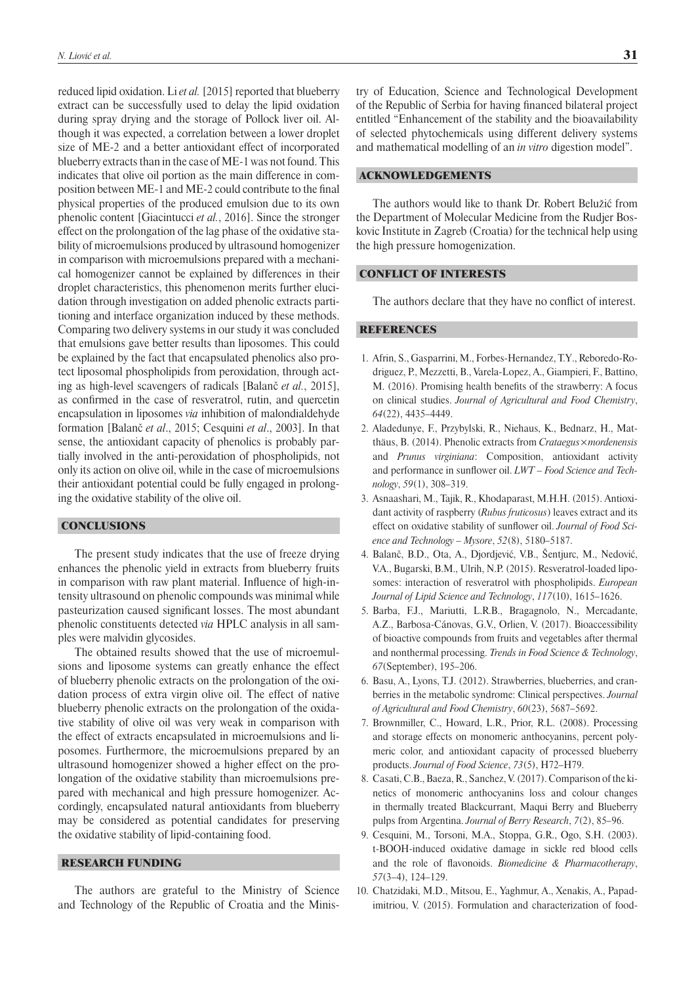reduced lipid oxidation. Li *et al.* [2015] reported that blueberry extract can be successfully used to delay the lipid oxidation during spray drying and the storage of Pollock liver oil. Although it was expected, a correlation between a lower droplet size of ME-2 and a better antioxidant effect of incorporated blueberry extracts than in the case of ME-1 was not found. This indicates that olive oil portion as the main difference in composition between ME-1 and ME-2 could contribute to the final physical properties of the produced emulsion due to its own phenolic content [Giacintucci *et al.*, 2016]. Since the stronger effect on the prolongation of the lag phase of the oxidative stability of microemulsions produced by ultrasound homogenizer in comparison with microemulsions prepared with a mechanical homogenizer cannot be explained by differences in their droplet characteristics, this phenomenon merits further elucidation through investigation on added phenolic extracts partitioning and interface organization induced by these methods. Comparing two delivery systems in our study it was concluded that emulsions gave better results than liposomes. This could be explained by the fact that encapsulated phenolics also protect liposomal phospholipids from peroxidation, through acting as high-level scavengers of radicals [Balanč *et al.*, 2015], as confirmed in the case of resveratrol, rutin, and quercetin encapsulation in liposomes *via* inhibition of malondialdehyde formation [Balanč *et al*., 2015; Cesquini *et al*., 2003]. In that sense, the antioxidant capacity of phenolics is probably partially involved in the anti-peroxidation of phospholipids, not only its action on olive oil, while in the case of microemulsions their antioxidant potential could be fully engaged in prolonging the oxidative stability of the olive oil.

# **CONCLUSIONS**

The present study indicates that the use of freeze drying enhances the phenolic yield in extracts from blueberry fruits in comparison with raw plant material. Influence of high-intensity ultrasound on phenolic compounds was minimal while pasteurization caused significant losses. The most abundant phenolic constituents detected *via* HPLC analysis in all samples were malvidin glycosides.

The obtained results showed that the use of microemulsions and liposome systems can greatly enhance the effect of blueberry phenolic extracts on the prolongation of the oxidation process of extra virgin olive oil. The effect of native blueberry phenolic extracts on the prolongation of the oxidative stability of olive oil was very weak in comparison with the effect of extracts encapsulated in microemulsions and liposomes. Furthermore, the microemulsions prepared by an ultrasound homogenizer showed a higher effect on the prolongation of the oxidative stability than microemulsions prepared with mechanical and high pressure homogenizer. Accordingly, encapsulated natural antioxidants from blueberry may be considered as potential candidates for preserving the oxidative stability of lipid-containing food.

# RESEARCH FUNDING

The authors are grateful to the Ministry of Science and Technology of the Republic of Croatia and the Ministry of Education, Science and Technological Development of the Republic of Serbia for having financed bilateral project entitled "Enhancement of the stability and the bioavailability of selected phytochemicals using different delivery systems and mathematical modelling of an *in vitro* digestion model".

### ACKNOWLEDGEMENTS

The authors would like to thank Dr. Robert Belužić from the Department of Molecular Medicine from the Rudjer Boskovic Institute in Zagreb (Croatia) for the technical help using the high pressure homogenization.

# CONFLICT OF INTERESTS

The authors declare that they have no conflict of interest.

#### **REFERENCES**

- 1. Afrin, S., Gasparrini, M., Forbes-Hernandez, T.Y., Reboredo-Rodriguez, P., Mezzetti, B., Varela-Lopez, A., Giampieri, F., Battino, M. (2016). Promising health benefits of the strawberry: A focus on clinical studies. *Journal of Agricultural and Food Chemistry*, *64*(22), 4435–4449.
- 2. Aladedunye, F., Przybylski, R., Niehaus, K., Bednarz, H., Matthäus, B. (2014). Phenolic extracts from *Crataegus×mordenensis*  and *Prunus virginiana*: Composition, antioxidant activity and performance in sunflower oil.  $LWT - Food Science$  and Tech*nology*, *59*(1), 308–319.
- 3. Asnaashari, M., Tajik, R., Khodaparast, M.H.H. (2015). Antioxidant activity of raspberry (*Rubus fruticosus*) leaves extract and its effect on oxidative stability of sunflower oil. *Journal of Food Science and Technology – Mysore*, *52*(8), 5180–5187.
- 4. Balanč, B.D., Ota, A., Djordjević, V.B., Šentjurc, M., Nedović, V.A., Bugarski, B.M., Ulrih, N.P. (2015). Resveratrol-loaded liposomes: interaction of resveratrol with phospholipids. *European Journal of Lipid Science and Technology*, *117*(10), 1615–1626.
- 5. Barba, F.J., Mariutti, L.R.B., Bragagnolo, N., Mercadante, A.Z., Barbosa-Cánovas, G.V., Orlien, V. (2017). Bioaccessibility of bioactive compounds from fruits and vegetables after thermal and nonthermal processing. *Trends in Food Science & Technology*, *67*(September), 195–206.
- 6. Basu, A., Lyons, T.J. (2012). Strawberries, blueberries, and cranberries in the metabolic syndrome: Clinical perspectives. *Journal of Agricultural and Food Chemistry*, *60*(23), 5687–5692.
- 7. Brownmiller, C., Howard, L.R., Prior, R.L. (2008). Processing and storage effects on monomeric anthocyanins, percent polymeric color, and antioxidant capacity of processed blueberry products. *Journal of Food Science*, *73*(5), H72–H79.
- 8. Casati, C.B., Baeza, R., Sanchez, V. (2017). Comparison of the kinetics of monomeric anthocyanins loss and colour changes in thermally treated Blackcurrant, Maqui Berry and Blueberry pulps from Argentina. *Journal of Berry Research*, *7*(2), 85–96.
- 9. Cesquini, M., Torsoni, M.A., Stoppa, G.R., Ogo, S.H. (2003). t-BOOH-induced oxidative damage in sickle red blood cells and the role of flavonoids. *Biomedicine & Pharmacotherapy*, *57*(3–4), 124–129.
- 10. Chatzidaki, M.D., Mitsou, E., Yaghmur, A., Xenakis, A., Papadimitriou, V. (2015). Formulation and characterization of food-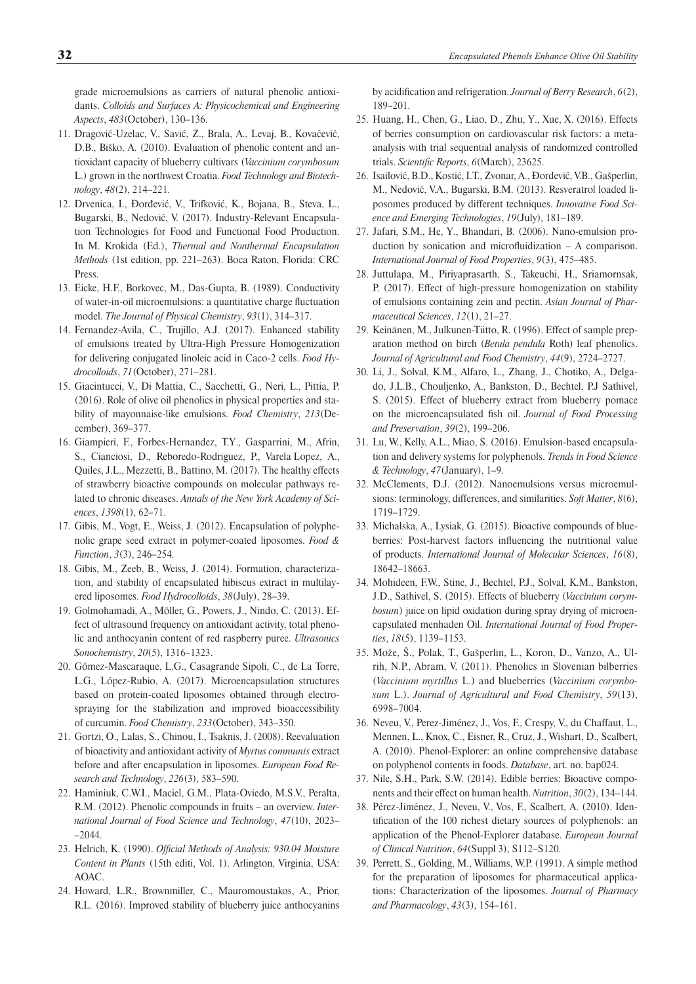grade microemulsions as carriers of natural phenolic antioxidants. *Colloids and Surfaces A: Physicochemical and Engineering Aspects*, *483*(October), 130–136.

- 11. Dragović-Uzelac, V., Savić, Z., Brala, A., Levaj, B., Kovačević, D.B., Biško, A. (2010). Evaluation of phenolic content and antioxidant capacity of blueberry cultivars (*Vaccinium corymbosum* L.) grown in the northwest Croatia. *Food Technology and Biotechnology*, *48*(2), 214–221.
- 12. Drvenica, I., Đorđević, V., Trifković, K., Bojana, B., Steva, L., Bugarski, B., Nedović, V. (2017). Industry-Relevant Encapsulation Technologies for Food and Functional Food Production. In M. Krokida (Ed.), *Thermal and Nonthermal Encapsulation Methods* (1st edition, pp. 221–263). Boca Raton, Florida: CRC Press.
- 13. Eicke, H.F., Borkovec, M., Das-Gupta, B. (1989). Conductivity of water-in-oil microemulsions: a quantitative charge fluctuation model. *The Journal of Physical Chemistry*, *93*(1), 314–317.
- 14. Fernandez-Avila, C., Trujillo, A.J. (2017). Enhanced stability of emulsions treated by Ultra-High Pressure Homogenization for delivering conjugated linoleic acid in Caco-2 cells. *Food Hydrocolloids*, *71*(October), 271–281.
- 15. Giacintucci, V., Di Mattia, C., Sacchetti, G., Neri, L., Pittia, P. (2016). Role of olive oil phenolics in physical properties and stability of mayonnaise-like emulsions. *Food Chemistry*, *213*(December), 369–377.
- 16. Giampieri, F., Forbes-Hernandez, T.Y., Gasparrini, M., Afrin, S., Cianciosi, D., Reboredo-Rodriguez, P., VarelaLopez, A., Quiles, J.L., Mezzetti, B., Battino, M. (2017). The healthy effects of strawberry bioactive compounds on molecular pathways related to chronic diseases. *Annals of the New York Academy of Sciences*, *1398*(1), 62–71.
- 17. Gibis, M., Vogt, E., Weiss, J. (2012). Encapsulation of polyphenolic grape seed extract in polymer-coated liposomes. *Food & Function*, *3*(3), 246–254.
- 18. Gibis, M., Zeeb, B., Weiss, J. (2014). Formation, characterization, and stability of encapsulated hibiscus extract in multilayered liposomes. *Food Hydrocolloids*, *38*(July), 28–39.
- 19. Golmohamadi, A., Möller, G., Powers, J., Nindo, C. (2013). Effect of ultrasound frequency on antioxidant activity, total phenolic and anthocyanin content of red raspberry puree. *Ultrasonics Sonochemistry*, *20*(5), 1316–1323.
- 20. Gómez-Mascaraque, L.G., Casagrande Sipoli, C., de La Torre, L.G., López-Rubio, A. (2017). Microencapsulation structures based on protein-coated liposomes obtained through electrospraying for the stabilization and improved bioaccessibility of curcumin. *Food Chemistry*, *233*(October), 343–350.
- 21. Gortzi, O., Lalas, S., Chinou, I., Tsaknis, J. (2008). Reevaluation of bioactivity and antioxidant activity of *Myrtus communis* extract before and after encapsulation in liposomes. *European Food Research and Technology*, *226*(3), 583–590.
- 22. Haminiuk, C.W.I., Maciel, G.M., Plata-Oviedo, M.S.V., Peralta, R.M. (2012). Phenolic compounds in fruits – an overview. *International Journal of Food Science and Technology*, *47*(10), 2023– –2044.
- 23. Helrich, K. (1990). *Official Methods of Analysis: 930.04 Moisture Content in Plants* (15th editi, Vol. 1). Arlington, Virginia, USA: AOAC.
- 24. Howard, L.R., Brownmiller, C., Mauromoustakos, A., Prior, R.L. (2016). Improved stability of blueberry juice anthocyanins

by acidifi cation and refrigeration. *Journal of Berry Research*, *6*(2), 189–201.

- 25. Huang, H., Chen, G., Liao, D., Zhu, Y., Xue, X. (2016). Effects of berries consumption on cardiovascular risk factors: a metaanalysis with trial sequential analysis of randomized controlled trials. *Scientific Reports*, 6(March), 23625.
- 26. Isailović, B.D., Kostić, I.T., Zvonar, A., Đordević, V.B., Gašperlin, M., Nedović, V.A., Bugarski, B.M. (2013). Resveratrol loaded liposomes produced by different techniques. *Innovative Food Science and Emerging Technologies*, *19*(July), 181–189.
- 27. Jafari, S.M., He, Y., Bhandari, B. (2006). Nano-emulsion production by sonication and microfluidization  $- A$  comparison. *International Journal of Food Properties*, *9*(3), 475–485.
- 28. Juttulapa, M., Piriyaprasarth, S., Takeuchi, H., Sriamornsak, P. (2017). Effect of high-pressure homogenization on stability of emulsions containing zein and pectin. *Asian Journal of Pharmaceutical Sciences*, *12*(1), 21–27.
- 29. Keinänen, M., Julkunen-Tiitto, R. (1996). Effect of sample preparation method on birch (*Betula pendula* Roth) leaf phenolics. *Journal of Agricultural and Food Chemistry*, *44*(9), 2724–2727.
- 30. Li, J., Solval, K.M., Alfaro, L., Zhang, J., Chotiko, A., Delgado, J.L.B., Chouljenko, A., Bankston, D., Bechtel, P.J Sathivel, S. (2015). Effect of blueberry extract from blueberry pomace on the microencapsulated fish oil. *Journal of Food Processing and Preservation*, *39*(2), 199–206.
- 31. Lu, W., Kelly, A.L., Miao, S. (2016). Emulsion-based encapsulation and delivery systems for polyphenols. *Trends in Food Science & Technology*, *47*(January), 1–9.
- 32. McClements, D.J. (2012). Nanoemulsions versus microemulsions: terminology, differences, and similarities. *Soft Matter*, *8*(6), 1719–1729.
- 33. Michalska, A., Lysiak, G. (2015). Bioactive compounds of blueberries: Post-harvest factors influencing the nutritional value of products. *International Journal of Molecular Sciences*, *16*(8), 18642–18663.
- 34. Mohideen, F.W., Stine, J., Bechtel, P.J., Solval, K.M., Bankston, J.D., Sathivel, S. (2015). Effects of blueberry (*Vaccinium corymbosum*) juice on lipid oxidation during spray drying of microencapsulated menhaden Oil. *International Journal of Food Properties*, *18*(5), 1139–1153.
- 35. Može, Š., Polak, T., Gašperlin, L., Koron, D., Vanzo, A., Ulrih, N.P., Abram, V. (2011). Phenolics in Slovenian bilberries (*Vaccinium myrtillus* L.) and blueberries (*Vaccinium corymbosum* L.). *Journal of Agricultural and Food Chemistry*, *59*(13), 6998–7004.
- 36. Neveu, V., Perez-Jiménez, J., Vos, F., Crespy, V., du Chaffaut, L., Mennen, L., Knox, C., Eisner, R., Cruz, J., Wishart, D., Scalbert, A. (2010). Phenol-Explorer: an online comprehensive database on polyphenol contents in foods. *Database*, art. no. bap024.
- 37. Nile, S.H., Park, S.W. (2014). Edible berries: Bioactive components and their effect on human health. *Nutrition*, *30*(2), 134–144.
- 38. Pérez-Jiménez, J., Neveu, V., Vos, F., Scalbert, A. (2010). Identification of the 100 richest dietary sources of polyphenols: an application of the Phenol-Explorer database. *European Journal of Clinical Nutrition*, *64*(Suppl 3), S112–S120.
- 39. Perrett, S., Golding, M., Williams, W.P. (1991). A simple method for the preparation of liposomes for pharmaceutical applications: Characterization of the liposomes. *Journal of Pharmacy and Pharmacology*, *43*(3), 154–161.